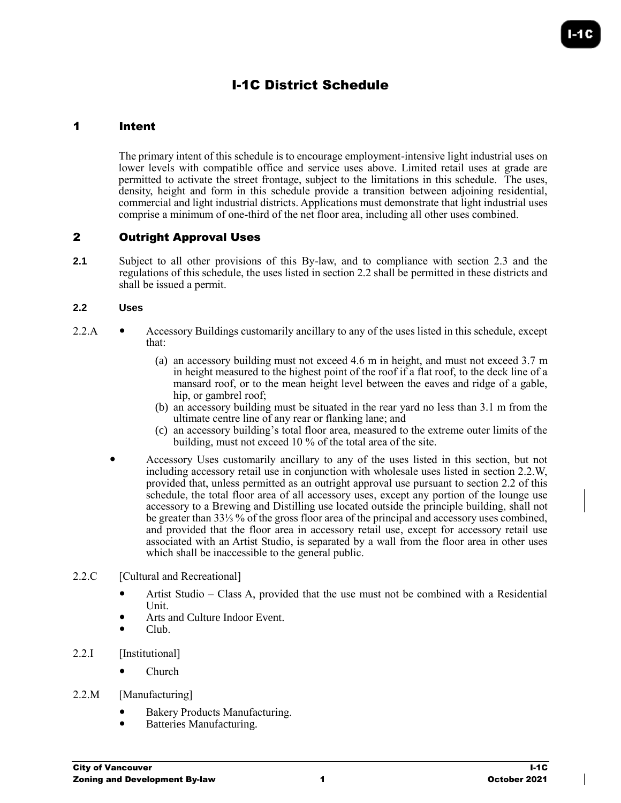# I-1C District Schedule

## 1 Intent

The primary intent of this schedule is to encourage employment-intensive light industrial uses on lower levels with compatible office and service uses above. Limited retail uses at grade are permitted to activate the street frontage, subject to the limitations in this schedule. The uses, density, height and form in this schedule provide a transition between adjoining residential, commercial and light industrial districts. Applications must demonstrate that light industrial uses comprise a minimum of one-third of the net floor area, including all other uses combined.

## 2 Outright Approval Uses

**2.1** Subject to all other provisions of this By-law, and to compliance with section 2.3 and the regulations of this schedule, the uses listed in section 2.2 shall be permitted in these districts and shall be issued a permit.

#### **2.2 Uses**

- 2.2.A Accessory Buildings customarily ancillary to any of the uses listed in this schedule, except that:
	- (a) an accessory building must not exceed 4.6 m in height, and must not exceed 3.7 m in height measured to the highest point of the roof if a flat roof, to the deck line of a mansard roof, or to the mean height level between the eaves and ridge of a gable, hip, or gambrel roof;
	- (b) an accessory building must be situated in the rear yard no less than 3.1 m from the ultimate centre line of any rear or flanking lane; and
	- (c) an accessory building's total floor area, measured to the extreme outer limits of the building, must not exceed 10 % of the total area of the site.
	- Accessory Uses customarily ancillary to any of the uses listed in this section, but not including accessory retail use in conjunction with wholesale uses listed in section 2.2.W, provided that, unless permitted as an outright approval use pursuant to section 2.2 of this schedule, the total floor area of all accessory uses, except any portion of the lounge use accessory to a Brewing and Distilling use located outside the principle building, shall not be greater than 33⅓ % of the gross floor area of the principal and accessory uses combined, and provided that the floor area in accessory retail use, except for accessory retail use associated with an Artist Studio, is separated by a wall from the floor area in other uses which shall be inaccessible to the general public.

#### 2.2.C [Cultural and Recreational]

- Artist Studio Class A, provided that the use must not be combined with a Residential Unit.
- Arts and Culture Indoor Event.
- Club.
- 2.2.I [Institutional]
	- Church

## 2.2.M [Manufacturing]

- Bakery Products Manufacturing.
- Batteries Manufacturing.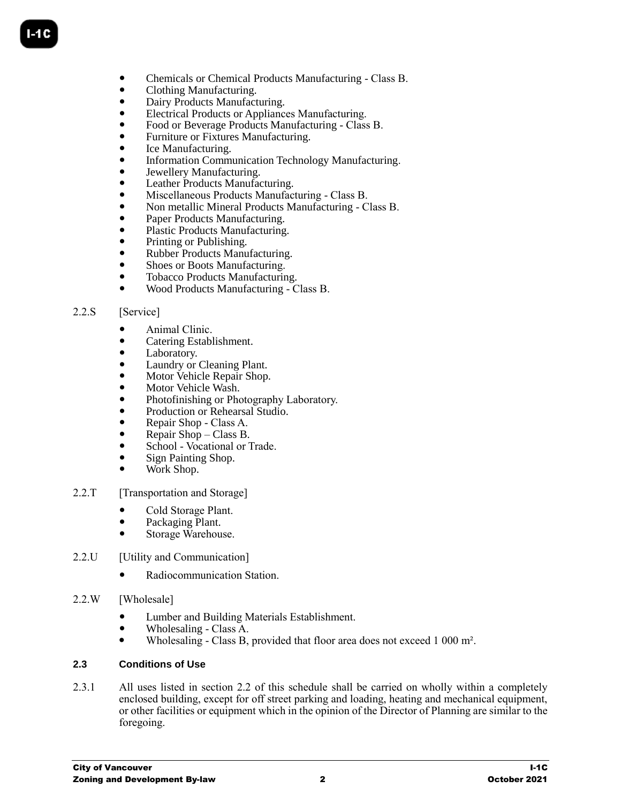- Chemicals or Chemical Products Manufacturing Class B.
- Clothing Manufacturing.
- Dairy Products Manufacturing.
- Electrical Products or Appliances Manufacturing.
- Food or Beverage Products Manufacturing Class B.
- Furniture or Fixtures Manufacturing.
- Ice Manufacturing.
- Information Communication Technology Manufacturing.
- Jewellery Manufacturing.
- Leather Products Manufacturing.
- Miscellaneous Products Manufacturing Class B.
- Non metallic Mineral Products Manufacturing Class B.
- Paper Products Manufacturing.
- Plastic Products Manufacturing.
- Printing or Publishing.
- Rubber Products Manufacturing.
- Shoes or Boots Manufacturing.
- Tobacco Products Manufacturing.
- Wood Products Manufacturing Class B.

#### 2.2.S [Service]

- Animal Clinic.
- Catering Establishment.
- Laboratory.
- Laundry or Cleaning Plant.
- Motor Vehicle Repair Shop.
- Motor Vehicle Wash.
- Photofinishing or Photography Laboratory.
- Production or Rehearsal Studio.
- Repair Shop Class A.
- Repair Shop Class B.
- School Vocational or Trade.
- Sign Painting Shop.
- Work Shop.
- 2.2.T [Transportation and Storage]
	- Cold Storage Plant.
	- Packaging Plant.
	- Storage Warehouse.
- 2.2.U [Utility and Communication]
	- Radiocommunication Station.
- 2.2.W [Wholesale]
	- Lumber and Building Materials Establishment.
	- Wholesaling Class A.
	- Wholesaling Class B, provided that floor area does not exceed 1 000 m².

#### **2.3 Conditions of Use**

2.3.1 All uses listed in section 2.2 of this schedule shall be carried on wholly within a completely enclosed building, except for off street parking and loading, heating and mechanical equipment, or other facilities or equipment which in the opinion of the Director of Planning are similar to the foregoing.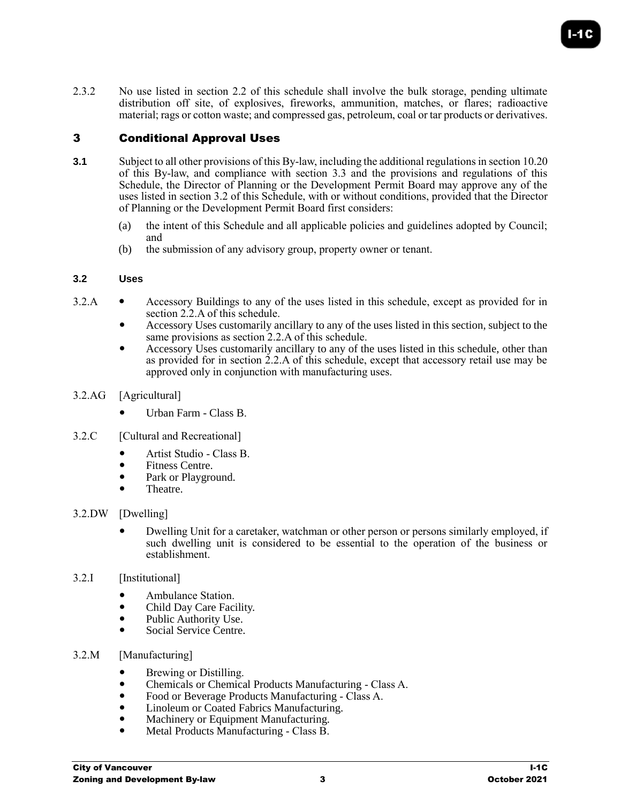2.3.2 No use listed in section 2.2 of this schedule shall involve the bulk storage, pending ultimate distribution off site, of explosives, fireworks, ammunition, matches, or flares; radioactive material; rags or cotton waste; and compressed gas, petroleum, coal or tar products or derivatives.

# 3 Conditional Approval Uses

- **3.1** Subject to all other provisions of this By-law, including the additional regulations in section 10.20 of this By-law, and compliance with section 3.3 and the provisions and regulations of this Schedule, the Director of Planning or the Development Permit Board may approve any of the uses listed in section 3.2 of this Schedule, with or without conditions, provided that the Director of Planning or the Development Permit Board first considers:
	- (a) the intent of this Schedule and all applicable policies and guidelines adopted by Council; and
	- (b) the submission of any advisory group, property owner or tenant.

# **3.2 Uses**

- 3.2.A Accessory Buildings to any of the uses listed in this schedule, except as provided for in section 2.2.A of this schedule.
	- Accessory Uses customarily ancillary to any of the uses listed in this section, subject to the same provisions as section 2.2.A of this schedule.
	- Accessory Uses customarily ancillary to any of the uses listed in this schedule, other than as provided for in section 2.2.A of this schedule, except that accessory retail use may be approved only in conjunction with manufacturing uses.
- 3.2.AG [Agricultural]
	- Urban Farm Class B.
- 3.2.C [Cultural and Recreational]
	- Artist Studio Class B.
	- Fitness Centre.
	- Park or Playground.
	- Theatre.

# 3.2.DW [Dwelling]

- Dwelling Unit for a caretaker, watchman or other person or persons similarly employed, if such dwelling unit is considered to be essential to the operation of the business or establishment.
- 3.2.I [Institutional]
	- Ambulance Station.
	- Child Day Care Facility.
	- Public Authority Use.
	- Social Service Centre.
- 3.2.M [Manufacturing]
	- Brewing or Distilling.
	- Chemicals or Chemical Products Manufacturing Class A.
	- Food or Beverage Products Manufacturing Class A.<br>• Linoleum or Coated Fabrics Manufacturing
	- Linoleum or Coated Fabrics Manufacturing.
	- Machinery or Equipment Manufacturing.
	- Metal Products Manufacturing Class B.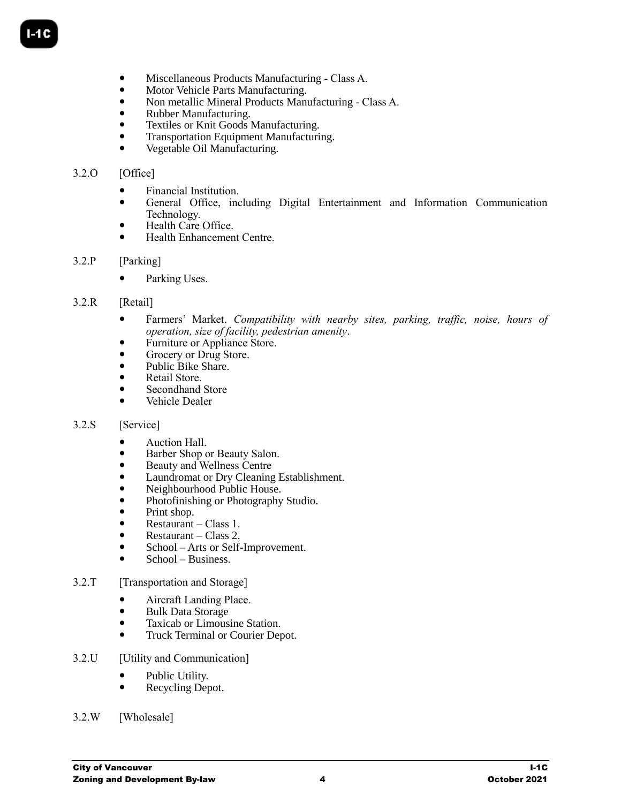- Miscellaneous Products Manufacturing Class A.
- Motor Vehicle Parts Manufacturing.
- Non metallic Mineral Products Manufacturing Class A.
- Rubber Manufacturing.
- Textiles or Knit Goods Manufacturing.
- Transportation Equipment Manufacturing.
- Vegetable Oil Manufacturing.

## 3.2.O [Office]

- Financial Institution.
- General Office, including Digital Entertainment and Information Communication Technology.
- Health Care Office.
- Health Enhancement Centre.

#### 3.2.P [Parking]

• Parking Uses.

## 3.2.R [Retail]

- Farmers' Market. *Compatibility with nearby sites, parking, traffic, noise, hours of operation, size of facility, pedestrian amenity*.
- Furniture or Appliance Store.
- Grocery or Drug Store.
- Public Bike Share.
- Retail Store.
- Secondhand Store
- Vehicle Dealer

#### 3.2.S [Service]

- Auction Hall.
- Barber Shop or Beauty Salon.
- Beauty and Wellness Centre
- Laundromat or Dry Cleaning Establishment.
- Neighbourhood Public House.
- Photofinishing or Photography Studio.
- Print shop.
- Restaurant Class 1.
- Restaurant Class 2.
- School Arts or Self-Improvement.
- $\bullet$  School Business.
- 3.2.T [Transportation and Storage]
	- Aircraft Landing Place.
		- Bulk Data Storage
		- Taxicab or Limousine Station.
		- Truck Terminal or Courier Depot.
- 3.2.U [Utility and Communication]
	- Public Utility.
	- Recycling Depot.
- 3.2.W [Wholesale]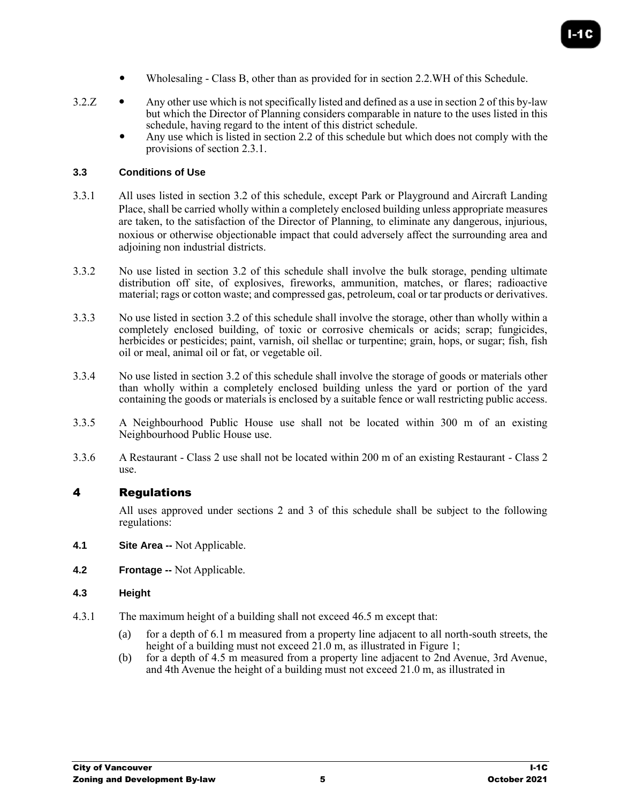- Wholesaling Class B, other than as provided for in section 2.2.WH of this Schedule.
- $3.2.Z$   $\bullet$  Any other use which is not specifically listed and defined as a use in section 2 of this by-law but which the Director of Planning considers comparable in nature to the uses listed in this schedule, having regard to the intent of this district schedule.
	- Any use which is listed in section 2.2 of this schedule but which does not comply with the provisions of section 2.3.1.

#### **3.3 Conditions of Use**

- 3.3.1 All uses listed in section 3.2 of this schedule, except Park or Playground and Aircraft Landing Place, shall be carried wholly within a completely enclosed building unless appropriate measures are taken, to the satisfaction of the Director of Planning, to eliminate any dangerous, injurious, noxious or otherwise objectionable impact that could adversely affect the surrounding area and adjoining non industrial districts.
- 3.3.2 No use listed in section 3.2 of this schedule shall involve the bulk storage, pending ultimate distribution off site, of explosives, fireworks, ammunition, matches, or flares; radioactive material; rags or cotton waste; and compressed gas, petroleum, coal or tar products or derivatives.
- 3.3.3 No use listed in section 3.2 of this schedule shall involve the storage, other than wholly within a completely enclosed building, of toxic or corrosive chemicals or acids; scrap; fungicides, herbicides or pesticides; paint, varnish, oil shellac or turpentine; grain, hops, or sugar; fish, fish oil or meal, animal oil or fat, or vegetable oil.
- 3.3.4 No use listed in section 3.2 of this schedule shall involve the storage of goods or materials other than wholly within a completely enclosed building unless the yard or portion of the yard containing the goods or materials is enclosed by a suitable fence or wall restricting public access.
- 3.3.5 A Neighbourhood Public House use shall not be located within 300 m of an existing Neighbourhood Public House use.
- 3.3.6 A Restaurant Class 2 use shall not be located within 200 m of an existing Restaurant Class 2 use.

# 4 Regulations

All uses approved under sections 2 and 3 of this schedule shall be subject to the following regulations:

- **4.1 Site Area --** Not Applicable.
- **4.2 Frontage --** Not Applicable.

#### **4.3 Height**

- 4.3.1 The maximum height of a building shall not exceed 46.5 m except that:
	- (a) for a depth of 6.1 m measured from a property line adjacent to all north-south streets, the height of a building must not exceed 21.0 m, as illustrated in [Figure 1;](#page-5-0)
	- (b) for a depth of 4.5 m measured from a property line adjacent to 2nd Avenue, 3rd Avenue, and 4th Avenue the height of a building must not exceed 21.0 m, as illustrated in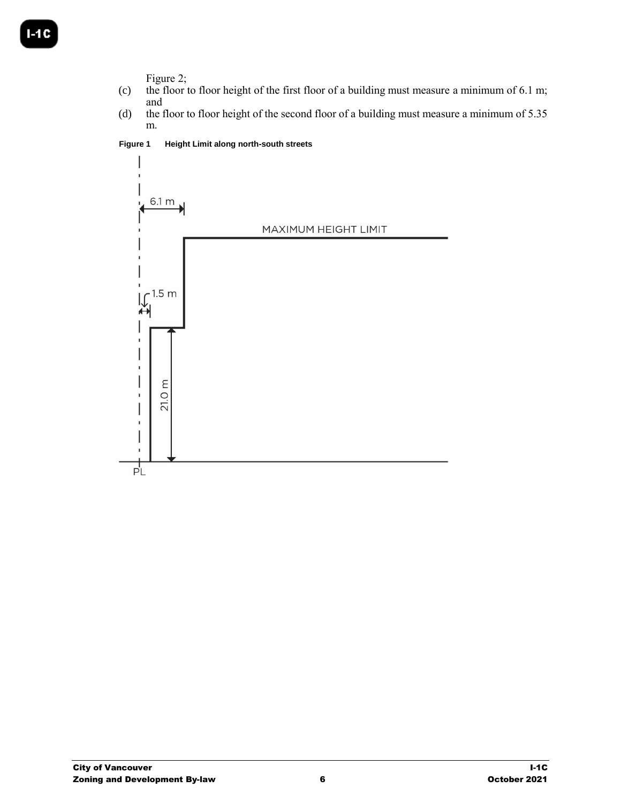[Figure 2;](#page-5-1)

- (c) the floor to floor height of the first floor of a building must measure a minimum of 6.1 m; and
- (d) the floor to floor height of the second floor of a building must measure a minimum of 5.35 m.

<span id="page-5-0"></span>**Figure 1 Height Limit along north-south streets**

<span id="page-5-1"></span>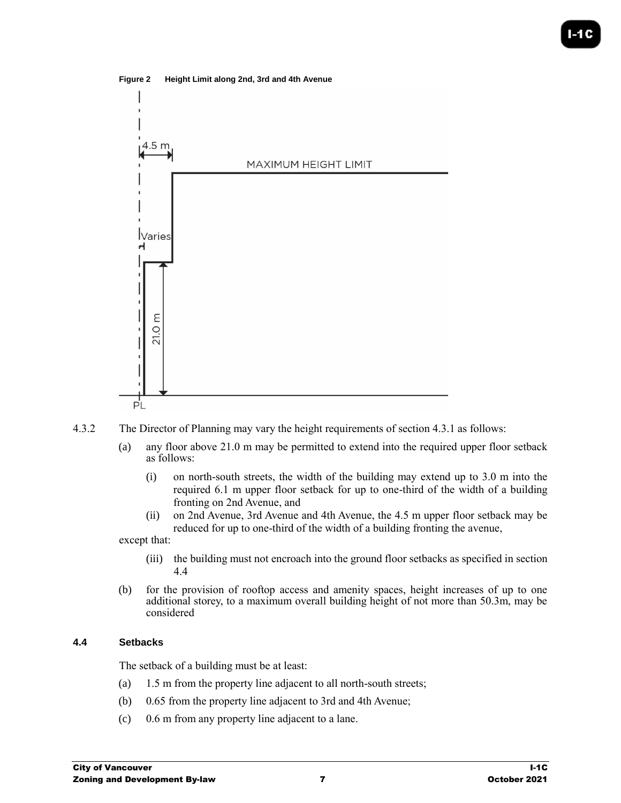

**Figure 2 Height Limit along 2nd, 3rd and 4th Avenue**

- 4.3.2 The Director of Planning may vary the height requirements of section 4.3.1 as follows:
	- (a) any floor above 21.0 m may be permitted to extend into the required upper floor setback as follows:
		- (i) on north-south streets, the width of the building may extend up to 3.0 m into the required 6.1 m upper floor setback for up to one-third of the width of a building fronting on 2nd Avenue, and
		- (ii) on 2nd Avenue, 3rd Avenue and 4th Avenue, the 4.5 m upper floor setback may be reduced for up to one-third of the width of a building fronting the avenue,

except that:

- (iii) the building must not encroach into the ground floor setbacks as specified in section 4.4
- (b) for the provision of rooftop access and amenity spaces, height increases of up to one additional storey, to a maximum overall building height of not more than 50.3m, may be considered

## **4.4 Setbacks**

The setback of a building must be at least:

- (a) 1.5 m from the property line adjacent to all north-south streets;
- (b) 0.65 from the property line adjacent to 3rd and 4th Avenue;
- (c) 0.6 m from any property line adjacent to a lane.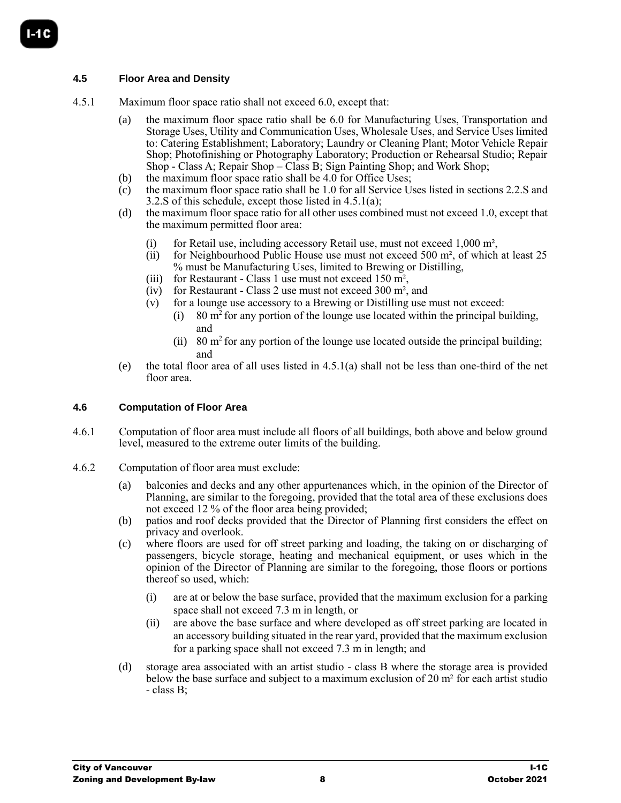## **4.5 Floor Area and Density**

- 4.5.1 Maximum floor space ratio shall not exceed 6.0, except that:
	- (a) the maximum floor space ratio shall be 6.0 for Manufacturing Uses, Transportation and Storage Uses, Utility and Communication Uses, Wholesale Uses, and Service Uses limited to: Catering Establishment; Laboratory; Laundry or Cleaning Plant; Motor Vehicle Repair Shop; Photofinishing or Photography Laboratory; Production or Rehearsal Studio; Repair Shop - Class A; Repair Shop – Class B; Sign Painting Shop; and Work Shop;
	- (b) the maximum floor space ratio shall be 4.0 for Office Uses;
	- (c) the maximum floor space ratio shall be 1.0 for all Service Uses listed in sections 2.2.S and 3.2.S of this schedule, except those listed in 4.5.1(a);
	- (d) the maximum floor space ratio for all other uses combined must not exceed 1.0, except that the maximum permitted floor area:
		- (i) for Retail use, including accessory Retail use, must not exceed 1,000 m²,
		- (ii) for Neighbourhood Public House use must not exceed 500  $m<sup>2</sup>$ , of which at least 25 % must be Manufacturing Uses, limited to Brewing or Distilling,
		- (iii) for Restaurant Class 1 use must not exceed 150 m²,
		- (iv) for Restaurant Class 2 use must not exceed 300 m², and
		- (v) for a lounge use accessory to a Brewing or Distilling use must not exceed:
			- (i) 80  $\text{m}^2$  for any portion of the lounge use located within the principal building, and
			- (ii) 80  $\text{m}^2$  for any portion of the lounge use located outside the principal building; and
	- (e) the total floor area of all uses listed in 4.5.1(a) shall not be less than one-third of the net floor area.

#### **4.6 Computation of Floor Area**

- 4.6.1 Computation of floor area must include all floors of all buildings, both above and below ground level, measured to the extreme outer limits of the building.
- 4.6.2 Computation of floor area must exclude:
	- (a) balconies and decks and any other appurtenances which, in the opinion of the Director of Planning, are similar to the foregoing, provided that the total area of these exclusions does not exceed 12 % of the floor area being provided;
	- (b) patios and roof decks provided that the Director of Planning first considers the effect on privacy and overlook.
	- (c) where floors are used for off street parking and loading, the taking on or discharging of passengers, bicycle storage, heating and mechanical equipment, or uses which in the opinion of the Director of Planning are similar to the foregoing, those floors or portions thereof so used, which:
		- (i) are at or below the base surface, provided that the maximum exclusion for a parking space shall not exceed 7.3 m in length, or
		- (ii) are above the base surface and where developed as off street parking are located in an accessory building situated in the rear yard, provided that the maximum exclusion for a parking space shall not exceed 7.3 m in length; and
	- (d) storage area associated with an artist studio class B where the storage area is provided below the base surface and subject to a maximum exclusion of 20 m² for each artist studio - class B;